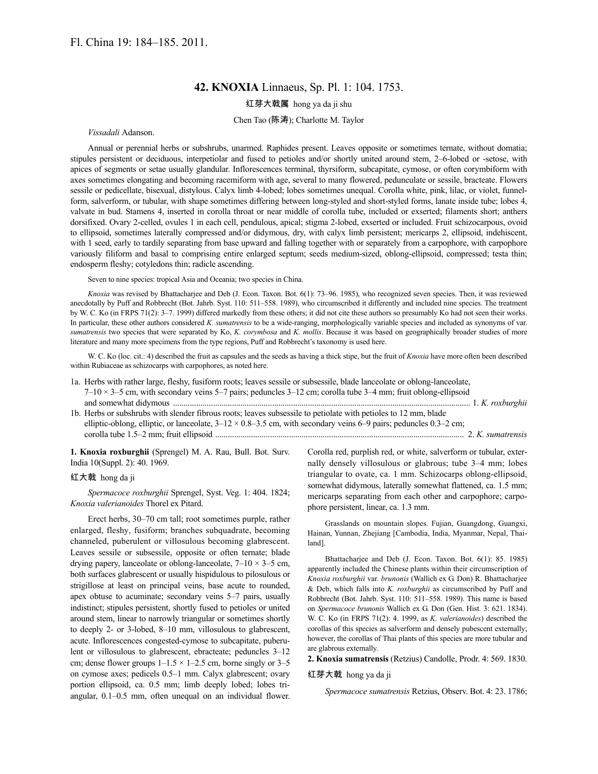# **42. KNOXIA** Linnaeus, Sp. Pl. 1: 104. 1753.

### 红芽大戟属 hong ya da ji shu

Chen Tao (陈涛); Charlotte M. Taylor

*Vissadali* Adanson.

Annual or perennial herbs or subshrubs, unarmed. Raphides present. Leaves opposite or sometimes ternate, without domatia; stipules persistent or deciduous, interpetiolar and fused to petioles and/or shortly united around stem, 2–6-lobed or -setose, with apices of segments or setae usually glandular. Inflorescences terminal, thyrsiform, subcapitate, cymose, or often corymbiform with axes sometimes elongating and becoming racemiform with age, several to many flowered, pedunculate or sessile, bracteate. Flowers sessile or pedicellate, bisexual, distylous. Calyx limb 4-lobed; lobes sometimes unequal. Corolla white, pink, lilac, or violet, funnelform, salverform, or tubular, with shape sometimes differing between long-styled and short-styled forms, lanate inside tube; lobes 4, valvate in bud. Stamens 4, inserted in corolla throat or near middle of corolla tube, included or exserted; filaments short; anthers dorsifixed. Ovary 2-celled, ovules 1 in each cell, pendulous, apical; stigma 2-lobed, exserted or included. Fruit schizocarpous, ovoid to ellipsoid, sometimes laterally compressed and/or didymous, dry, with calyx limb persistent; mericarps 2, ellipsoid, indehiscent, with 1 seed, early to tardily separating from base upward and falling together with or separately from a carpophore, with carpophore variously filiform and basal to comprising entire enlarged septum; seeds medium-sized, oblong-ellipsoid, compressed; testa thin; endosperm fleshy; cotyledons thin; radicle ascending.

Seven to nine species: tropical Asia and Oceania; two species in China.

*Knoxia* was revised by Bhattacharjee and Deb (J. Econ. Taxon. Bot. 6(1): 73–96. 1985), who recognized seven species. Then, it was reviewed anecdotally by Puff and Robbrecht (Bot. Jahrb. Syst. 110: 511–558. 1989), who circumscribed it differently and included nine species. The treatment by W. C. Ko (in FRPS 71(2): 3–7. 1999) differed markedly from these others; it did not cite these authors so presumably Ko had not seen their works. In particular, these other authors considered *K. sumatrensis* to be a wide-ranging, morphologically variable species and included as synonyms of var. *sumatrensis* two species that were separated by Ko, *K. corymbosa* and *K. mollis*. Because it was based on geographically broader studies of more literature and many more specimens from the type regions, Puff and Robbrecht's taxonomy is used here.

W. C. Ko (loc. cit.: 4) described the fruit as capsules and the seeds as having a thick stipe, but the fruit of *Knoxia* have more often been described within Rubiaceae as schizocarps with carpophores, as noted here.

**1. Knoxia roxburghii** (Sprengel) M. A. Rau, Bull. Bot. Surv. India 10(Suppl. 2): 40. 1969.

#### 红大戟 hong da ji

*Spermacoce roxburghii* Sprengel, Syst. Veg. 1: 404. 1824; *Knoxia valerianoides* Thorel ex Pitard.

Erect herbs, 30–70 cm tall; root sometimes purple, rather enlarged, fleshy, fusiform; branches subquadrate, becoming channeled, puberulent or villosulous becoming glabrescent. Leaves sessile or subsessile, opposite or often ternate; blade drying papery, lanceolate or oblong-lanceolate, 7–10 × 3–5 cm, both surfaces glabrescent or usually hispidulous to pilosulous or strigillose at least on principal veins, base acute to rounded, apex obtuse to acuminate; secondary veins 5–7 pairs, usually indistinct; stipules persistent, shortly fused to petioles or united around stem, linear to narrowly triangular or sometimes shortly to deeply 2- or 3-lobed, 8–10 mm, villosulous to glabrescent, acute. Inflorescences congested-cymose to subcapitate, puberulent or villosulous to glabrescent, ebracteate; peduncles 3–12 cm; dense flower groups  $1-1.5 \times 1-2.5$  cm, borne singly or 3-5 on cymose axes; pedicels 0.5–1 mm. Calyx glabrescent; ovary portion ellipsoid, ca. 0.5 mm; limb deeply lobed; lobes triangular, 0.1–0.5 mm, often unequal on an individual flower. Corolla red, purplish red, or white, salverform or tubular, externally densely villosulous or glabrous; tube 3–4 mm; lobes triangular to ovate, ca. 1 mm. Schizocarps oblong-ellipsoid, somewhat didymous, laterally somewhat flattened, ca. 1.5 mm; mericarps separating from each other and carpophore; carpophore persistent, linear, ca. 1.3 mm.

Grasslands on mountain slopes. Fujian, Guangdong, Guangxi, Hainan, Yunnan, Zhejiang [Cambodia, India, Myanmar, Nepal, Thailand].

Bhattacharjee and Deb (J. Econ. Taxon. Bot. 6(1): 85. 1985) apparently included the Chinese plants within their circumscription of *Knoxia roxburghii* var. *brunonis* (Wallich ex G. Don) R. Bhattacharjee & Deb, which falls into *K. roxburghii* as circumscribed by Puff and Robbrecht (Bot. Jahrb. Syst. 110: 511–558. 1989). This name is based on *Spermacoce brunonis* Wallich ex G. Don (Gen. Hist. 3: 621. 1834). W. C. Ko (in FRPS 71(2): 4. 1999, as *K. valerianoides*) described the corollas of this species as salverform and densely pubescent externally; however, the corollas of Thai plants of this species are more tubular and are glabrous externally.

**2. Knoxia sumatrensis** (Retzius) Candolle, Prodr. 4: 569. 1830.

#### 红芽大戟 hong ya da ji

*Spermacoce sumatrensis* Retzius, Observ. Bot. 4: 23. 1786;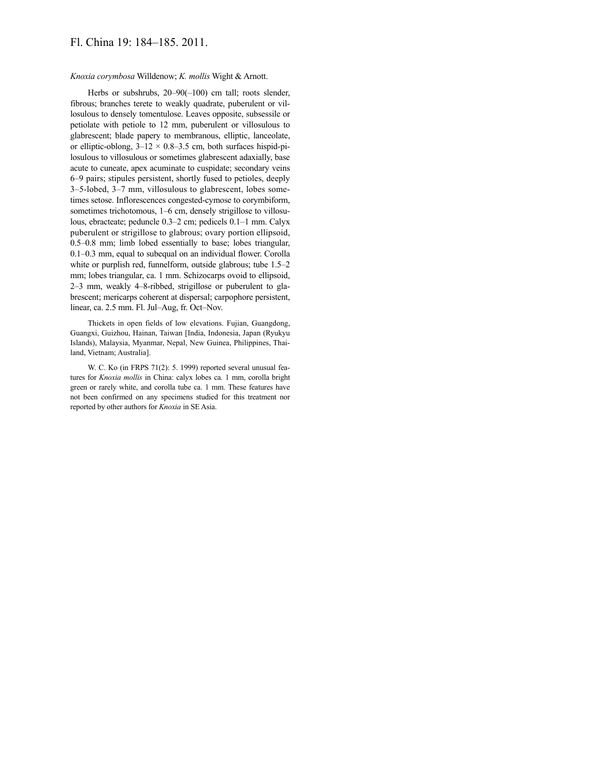# Fl. China 19: 184–185. 2011.

### *Knoxia corymbosa* Willdenow; *K. mollis* Wight & Arnott.

Herbs or subshrubs, 20–90(–100) cm tall; roots slender, fibrous; branches terete to weakly quadrate, puberulent or villosulous to densely tomentulose. Leaves opposite, subsessile or petiolate with petiole to 12 mm, puberulent or villosulous to glabrescent; blade papery to membranous, elliptic, lanceolate, or elliptic-oblong,  $3-12 \times 0.8-3.5$  cm, both surfaces hispid-pilosulous to villosulous or sometimes glabrescent adaxially, base acute to cuneate, apex acuminate to cuspidate; secondary veins 6–9 pairs; stipules persistent, shortly fused to petioles, deeply 3–5-lobed, 3–7 mm, villosulous to glabrescent, lobes sometimes setose. Inflorescences congested-cymose to corymbiform, sometimes trichotomous, 1–6 cm, densely strigillose to villosulous, ebracteate; peduncle 0.3–2 cm; pedicels 0.1–1 mm. Calyx puberulent or strigillose to glabrous; ovary portion ellipsoid, 0.5–0.8 mm; limb lobed essentially to base; lobes triangular, 0.1–0.3 mm, equal to subequal on an individual flower. Corolla white or purplish red, funnelform, outside glabrous; tube 1.5–2 mm; lobes triangular, ca. 1 mm. Schizocarps ovoid to ellipsoid, 2–3 mm, weakly 4–8-ribbed, strigillose or puberulent to glabrescent; mericarps coherent at dispersal; carpophore persistent, linear, ca. 2.5 mm. Fl. Jul–Aug, fr. Oct–Nov.

Thickets in open fields of low elevations. Fujian, Guangdong, Guangxi, Guizhou, Hainan, Taiwan [India, Indonesia, Japan (Ryukyu Islands), Malaysia, Myanmar, Nepal, New Guinea, Philippines, Thailand, Vietnam; Australia].

W. C. Ko (in FRPS 71(2): 5. 1999) reported several unusual features for *Knoxia mollis* in China: calyx lobes ca. 1 mm, corolla bright green or rarely white, and corolla tube ca. 1 mm. These features have not been confirmed on any specimens studied for this treatment nor reported by other authors for *Knoxia* in SE Asia.